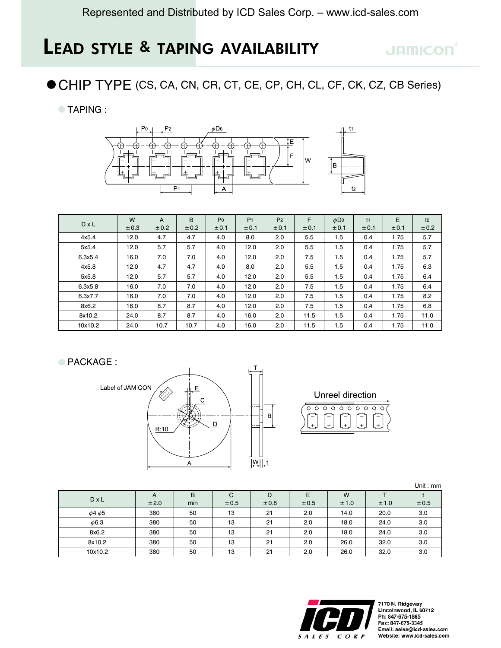## **JAMICON**

● CHIP TYPE (CS, CA, CN, CR, CT, CE, CP, CH, CL, CF, CK, CZ, CB Series)

**TAPING:** 



|              | W    | A     | B     | P <sub>0</sub> | P <sub>1</sub> | P <sub>2</sub> | F     | $\phi$ Do | t <sub>1</sub> | E     | t <sub>2</sub> |
|--------------|------|-------|-------|----------------|----------------|----------------|-------|-----------|----------------|-------|----------------|
| $D \times L$ | ±0.3 | ± 0.2 | ± 0.2 | ± 0.1          | ± 0.1          | ± 0.1          | ± 0.1 | ± 0.1     | ± 0.1          | ± 0.1 | ± 0.2          |
| 4x5.4        | 12.0 | 4.7   | 4.7   | 4.0            | 8.0            | 2.0            | 5.5   | 1.5       | 0.4            | 1.75  | 5.7            |
| 5x5.4        | 12.0 | 5.7   | 5.7   | 4.0            | 12.0           | 2.0            | 5.5   | 1.5       | 0.4            | 1.75  | 5.7            |
| 6.3x5.4      | 16.0 | 7.0   | 7.0   | 4.0            | 12.0           | 2.0            | 7.5   | 1.5       | 0.4            | 1.75  | 5.7            |
| 4x5.8        | 12.0 | 4.7   | 4.7   | 4.0            | 8.0            | 2.0            | 5.5   | 1.5       | 0.4            | 1.75  | 6.3            |
| 5x5.8        | 12.0 | 5.7   | 5.7   | 4.0            | 12.0           | 2.0            | 5.5   | 1.5       | 0.4            | 1.75  | 6.4            |
| 6.3x5.8      | 16.0 | 7.0   | 7.0   | 4.0            | 12.0           | 2.0            | 7.5   | 1.5       | 0.4            | 1.75  | 6.4            |
| 6.3x7.7      | 16.0 | 7.0   | 7.0   | 4.0            | 12.0           | 2.0            | 7.5   | 1.5       | 0.4            | 1.75  | 8.2            |
| 8x6.2        | 16.0 | 8.7   | 8.7   | 4.0            | 12.0           | 2.0            | 7.5   | 1.5       | 0.4            | 1.75  | 6.8            |
| 8x10.2       | 24.0 | 8.7   | 8.7   | 4.0            | 16.0           | 2.0            | 11.5  | 1.5       | 0.4            | 1.75  | 11.0           |
| 10x10.2      | 24.0 | 10.7  | 10.7  | 4.0            | 16.0           | 2.0            | 11.5  | 1.5       | 0.4            | 1.75  | 11.0           |

● PACKAGE :



Unreel direction  $000000$  $\overline{\circ}$  $\overline{\circ}$ ਨ

|                   |      |     |       |      |       |       |       | Unit: mm |
|-------------------|------|-----|-------|------|-------|-------|-------|----------|
|                   | A    | B   | С     | D    | Е     | W     |       |          |
| $D \times L$      | ±2.0 | min | ± 0.5 | ±0.8 | ± 0.5 | ± 1.0 | ± 1.0 | ± 0.5    |
| $\phi$ 4 $\phi$ 5 | 380  | 50  | 13    | 21   | 2.0   | 14.0  | 20.0  | 3.0      |
| $\phi$ 6.3        | 380  | 50  | 13    | 21   | 2.0   | 18.0  | 24.0  | 3.0      |
| 8x6.2             | 380  | 50  | 13    | 21   | 2.0   | 18.0  | 24.0  | 3.0      |
| 8x10.2            | 380  | 50  | 13    | 21   | 2.0   | 26.0  | 32.0  | 3.0      |
| 10x10.2           | 380  | 50  | 13    | 21   | 2.0   | 26.0  | 32.0  | 3.0      |



7170 N. Ridgeway<br>Lincolnwood, IL 60712 Ph: 847-675-1865 Fax: 847-675-3345 Email: sales@icd-sales.com Website: www.icd-sales.com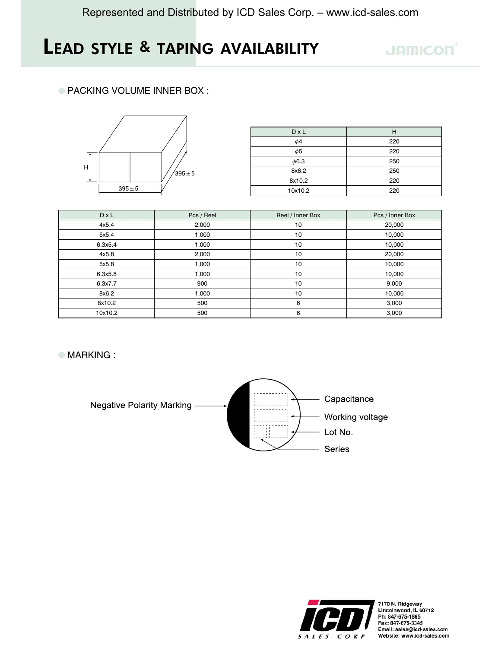### **JAMICON**

#### ● PACKING VOLUME INNER BOX:



| $D \times L$ | Н   |  |  |  |
|--------------|-----|--|--|--|
| $\phi$ 4     | 220 |  |  |  |
| $\phi$ 5     | 220 |  |  |  |
| $\phi$ 6.3   | 250 |  |  |  |
| 8x6.2        | 250 |  |  |  |
| 8x10.2       | 220 |  |  |  |
| 10x10.2      | 220 |  |  |  |

| $D \times L$ | Pcs / Reel | Reel / Inner Box | Pcs / Inner Box |  |  |
|--------------|------------|------------------|-----------------|--|--|
| 4x5.4        | 2,000      | 10               | 20,000          |  |  |
| 5x5.4        | 1,000      | 10               | 10,000          |  |  |
| 6.3x5.4      | 1,000      | 10               | 10,000          |  |  |
| 4x5.8        | 2,000      | 10               | 20,000          |  |  |
| 5x5.8        | 1,000      | 10               | 10,000          |  |  |
| 6.3x5.8      | 1,000      | 10               | 10,000          |  |  |
| 6.3x7.7      | 900        | 10               | 9,000           |  |  |
| 8x6.2        | 1,000      | 10               | 10,000          |  |  |
| 8x10.2       | 500        | 6                | 3,000           |  |  |
| 10x10.2      | 500        | 6                | 3,000           |  |  |

**MARKING:** 



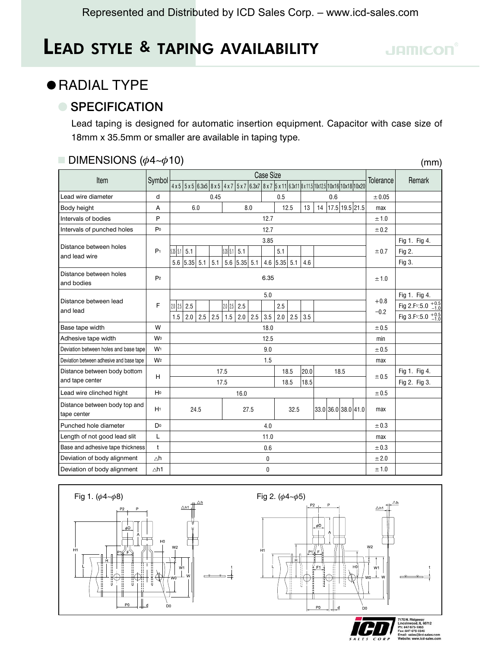## **• RADIAL TYPE**

### ● SPECIFICATION

Lead taping is designed for automatic insertion equipment. Capacitor with case size of 18mm x 35.5mm or smaller are available in taping type.

#### **DIMENSIONS** ( $\phi$ 4~ $\phi$ 10)

| DIMENSIONS ( $\phi$ 4~ $\phi$ 10)<br>(mm)    |                |                                                                                                                              |      |      |                                  |      |            |                |      |       |       |                     |      |                |                  |                                                                                                           |
|----------------------------------------------|----------------|------------------------------------------------------------------------------------------------------------------------------|------|------|----------------------------------|------|------------|----------------|------|-------|-------|---------------------|------|----------------|------------------|-----------------------------------------------------------------------------------------------------------|
|                                              |                | <b>Case Size</b>                                                                                                             |      |      |                                  |      |            |                |      |       |       |                     |      |                |                  |                                                                                                           |
| Item                                         | Symbol         | 4 x 5   5 x 5   6.3x5   8 x 5   4 x 7   5 x 7   6.3x7   8 x 7   5 x 11   6.3x11   8 x 11.5   10x12.5   10x16   10x18   10x20 |      |      |                                  |      |            |                |      |       |       |                     |      |                | Tolerance        | Remark                                                                                                    |
| Lead wire diameter                           | d              |                                                                                                                              |      | 0.45 |                                  |      |            | 0.5            |      |       |       | 0.6                 |      |                | ± 0.05           |                                                                                                           |
| Body height                                  | A              |                                                                                                                              | 6.0  |      |                                  | 8.0  |            | 12.5           |      | 13    | 14    |                     |      | 17.5 19.5 21.5 | max              |                                                                                                           |
| Intervals of bodies                          | P              |                                                                                                                              |      |      |                                  |      | 12.7       |                |      |       |       |                     |      |                | ±1.0             |                                                                                                           |
| Intervals of punched holes                   | P <sub>0</sub> |                                                                                                                              |      |      |                                  |      | 12.7       |                |      |       |       |                     |      |                | ± 0.2            |                                                                                                           |
|                                              |                |                                                                                                                              |      |      |                                  |      | 3.85       |                |      |       |       |                     |      |                |                  | Fig 1. Fig 4.                                                                                             |
| Distance between holes<br>and lead wire      | P <sub>1</sub> | 5.35   5.1<br>5.1                                                                                                            |      |      | 5.35   5.1  <br>5.1              |      |            | 5.1            |      |       |       |                     |      |                | ± 0.7            | Fig 2.                                                                                                    |
|                                              |                | $5.6$ 5.35 5.1                                                                                                               |      | 5.1  | $5.6$ 5.35 5.1                   |      |            | $4.6$ 5.35 5.1 |      | 4.6   |       |                     |      |                |                  | Fig 3.                                                                                                    |
| Distance between holes<br>and bodies         | P <sub>2</sub> |                                                                                                                              | 6.35 |      |                                  |      |            |                |      | ±1.0  |       |                     |      |                |                  |                                                                                                           |
| Distance between lead<br>and lead            | F              | $2.0$ 2.5<br>2.5<br>1.5<br>2.0                                                                                               | 2.5  | 2.5  | $2.0$ $2.5$<br>2.5<br>1.5<br>2.0 | 2.5  | 5.0<br>3.5 | 2.5<br>2.0     | 2.5  | 3.5   |       |                     |      |                | $+0.8$<br>$-0.2$ | Fig 1. Fig 4.<br>Fig 2.F <sub>1</sub> :5.0 $^{+0.5}_{-1.0}$<br>Fig 3.F <sub>1</sub> :5.0 $^{+0.5}_{-1.0}$ |
| Base tape width                              | W              |                                                                                                                              |      |      |                                  |      | 18.0       |                |      |       |       |                     |      |                | ± 0.5            |                                                                                                           |
| Adhesive tape width                          | <b>Wo</b>      |                                                                                                                              |      |      |                                  |      | 12.5       |                |      |       |       |                     |      |                | min              |                                                                                                           |
| Deviation between holes and base tape        | W <sub>1</sub> |                                                                                                                              |      |      |                                  |      | 9.0        |                |      |       |       |                     |      |                | ± 0.5            |                                                                                                           |
| Deviation between adhesive and base tape     | W <sub>2</sub> |                                                                                                                              |      |      |                                  |      | 1.5        |                |      |       |       |                     |      |                | max              |                                                                                                           |
| Distance between body bottom                 | H              |                                                                                                                              |      | 17.5 |                                  |      |            | 18.5           |      | 20.0  |       |                     | 18.5 |                | ± 0.5            | Fig 1. Fig 4.                                                                                             |
| and tape center                              |                |                                                                                                                              |      | 17.5 |                                  |      |            | 18.5           |      | 18.5  |       |                     |      |                | Fig 2. Fig 3.    |                                                                                                           |
| Lead wire clinched hight                     | H <sub>0</sub> |                                                                                                                              | 16.0 |      |                                  |      |            |                |      | ± 0.5 |       |                     |      |                |                  |                                                                                                           |
| Distance between body top and<br>tape center | H <sub>1</sub> |                                                                                                                              | 24.5 |      |                                  | 27.5 |            |                | 32.5 |       |       | 33.0 36.0 38.0 41.0 |      |                | max              |                                                                                                           |
| Punched hole diameter                        | Do             |                                                                                                                              | 4.0  |      |                                  |      |            |                |      | ± 0.3 |       |                     |      |                |                  |                                                                                                           |
| Length of not good lead slit                 | L              | 11.0                                                                                                                         |      |      |                                  |      |            |                | max  |       |       |                     |      |                |                  |                                                                                                           |
| Base and adhesive tape thickness             | $\mathsf{t}$   |                                                                                                                              | 0.6  |      |                                  |      |            |                |      |       | ± 0.3 |                     |      |                |                  |                                                                                                           |
| Deviation of body alignment                  | $\Delta h$     |                                                                                                                              |      |      |                                  |      | 0          |                |      |       |       |                     |      |                | ± 2.0            |                                                                                                           |
| Deviation of body alignment                  | $\triangle h1$ |                                                                                                                              | 0    |      |                                  |      |            |                |      | ±1.0  |       |                     |      |                |                  |                                                                                                           |



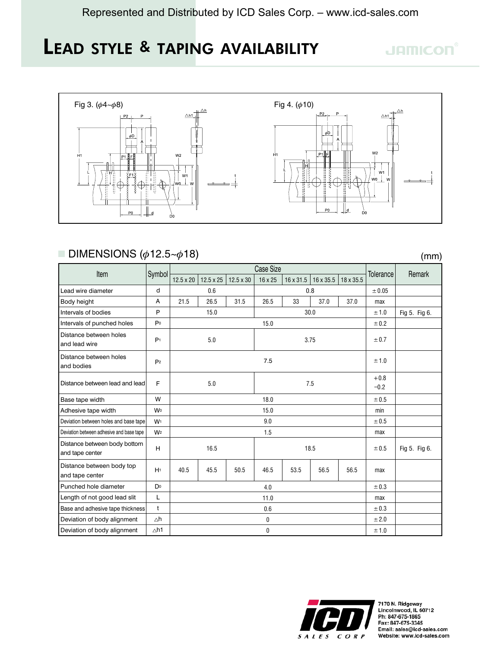## **JAMICON**

 $(mm)$ 



#### **DIMENSIONS** ( $\phi$ 12.5~ $\phi$ 18)

Case Size Item Symbol Tolerance Remark  $12.5 \times 20$  12.5 x 25  $12.5 \times 30$  $16 \times 25$  $16 \times 31.5$  16 x 35.5 18 x 35.5 Lead wire diameter d  $0.6$  $0.8$  $\pm\,0.05$ 26.5  $31.5$ 26.5 33 37.0  $\boldsymbol{\mathsf{A}}$  $21.5$ 37.0 Body height max  $\mathsf{P}$ 15.0  $30.0$ Fig 5. Fig 6. Intervals of bodies  $±1.0$  $P<sub>0</sub>$ 15.0 Intervals of punched holes  $\pm\,0.2$ Distance between holes  $P<sub>1</sub>$  $5.0$ 3.75  $± 0.7$ and lead wire Distance between holes  $7.5\,$  $\pm\,1.0$  $P<sub>2</sub>$ and bodies  $\bf+0.8$ F  $5.0$  $7.5$ Distance between lead and lead  $-0.2$ Base tape width W 18.0  $\pm 0.5$ Adhesive tape width **Wo** 15.0 min Deviation between holes and base tape  $9.0$  $± 0.5$  $W<sub>1</sub>$ Deviation between adhesive and base tape  $W<sub>2</sub>$  $1.5$ max Distance between body bottom 16.5 18.5 Fig 5. Fig 6.  $H$  $± 0.5$ and tape center Distance between body top 40.5 45.5 50.5 53.5 56.5 56.5  $H<sup>1</sup>$ 46.5 max and tape center D<sub>0</sub> Punched hole diameter  $± 0.3$  $4.0$ Length of not good lead slit  $\mathsf{L}$  $11.0$ max Base and adhesive tape thickness  $0.6$  $\ddot{\phantom{1}}$  $\pm\,0.3$  $± 2.0$ Deviation of body alignment  $\triangle h$  $\pmb{0}$  $\triangle h1$ Deviation of body alignment  $\pmb{0}$  $± 1.0$ 



7170 N. Ridgeway<br>Lincolnwood, IL 60712 Ph: 847-675-1865 Fax: 847-675-3345 Email: sales@icd-sales.com Website: www.icd-sales.com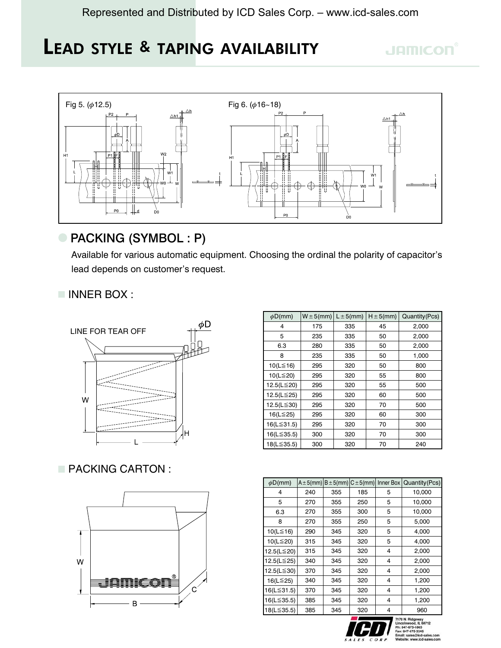## **JAMICON**



### PACKING (SYMBOL: P)

Available for various automatic equipment. Choosing the ordinal the polarity of capacitor's lead depends on customer's request.

#### INNER BOX:



### PACKING CARTON:



| $\phi$ D(mm) | $W \pm 5$ (mm) | $L \pm 5$ (mm) | $H \pm 5$ (mm) | Quantity (Pcs) |
|--------------|----------------|----------------|----------------|----------------|
| 4            | 175            | 335            | 45             | 2,000          |
| 5            | 235            | 335            | 50             | 2,000          |
| 6.3          | 280            | 335            | 50             | 2,000          |
| 8            | 235            | 335            | 50             | 1,000          |
| 10(L≦16)     | 295            | 320            | 50             | 800            |
| 10(L≦20)     | 295            | 320            | 55             | 800            |
| 12.5(L≦20)   | 295            | 320            | 55             | 500            |
| 12.5(L≦25)   | 295            | 320            | 60             | 500            |
| 12.5(L≦30)   | 295            | 320            | 70             | 500            |
| 16(L≦25)     | 295            | 320            | 60             | 300            |
| 16(L≦31.5)   | 295            | 320            | 70             | 300            |
| 16(L≦35.5)   | 300            | 320            | 70             | 300            |
| 18(L≦35.5)   | 300            | 320            | 70             | 240            |

| $\phi$ D(mm) | $A \pm 5$ (mm) |     | $B \pm 5$ (mm) $C \pm 5$ (mm) | Inner Box | Quantity (Pcs)   |  |
|--------------|----------------|-----|-------------------------------|-----------|------------------|--|
| 4            | 240            | 355 | 185                           | 5         | 10,000           |  |
| 5            | 270            | 355 | 250                           | 5         | 10,000           |  |
| 6.3          | 270            | 355 | 300                           | 5         | 10,000           |  |
| 8            | 270            | 355 | 250                           | 5         | 5,000            |  |
| 10(L≦16)     | 290            | 345 | 320                           | 5         | 4,000            |  |
| 10(L≦20)     | 315            | 345 | 320                           | 5         | 4,000            |  |
| 12.5(L≦20)   | 315            | 345 | 320                           | 4         | 2,000            |  |
| 12.5(L≦25)   | 340            | 345 | 320                           | 4         | 2,000            |  |
| 12.5(L≦30)   | 370            | 345 | 320                           | 4         | 2,000            |  |
| 16(L≦25)     | 340            | 345 | 320                           | 4         | 1,200            |  |
| 16(L≦31.5)   | 370            | 345 | 320                           | 4         | 1,200            |  |
| 16(L≦35.5)   | 385            | 345 | 320                           | 4         | 1,200            |  |
| 18(L≦35.5)   | 385            | 345 | 320                           | 4         | 960              |  |
|              |                |     |                               |           | 7170 N. Ridgeway |  |



Ph: 847-675-1865<br>Fax: 847-675-3345